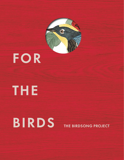

## FOR

# THE

## **BIRDS** THE BIRDSONG PROJECT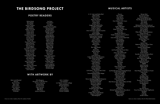### MUSICAL ARTISTS

### THE BIRDSONG PROJECT

### POETRY READERS

Adrian Brody Alice Waters Ann Beattie Antonio Campos Bette Midler Bob Ballaban Bobby Canavalle Brady Corbet Cazzie David Chelsie Diane Christiane Amanpour Conor Oberst Danielle Haim Daryl Hannah David Cale Donald Ray Pollock Edward Hirsch Edwina Von Gal Elliot Bergman Florence Welch Gabrielle Calvocoressi George Saunders Grace Gummer Graydon Carter Greta Gerwig Hailey Benton Gates Jack Kornfeld Jane Alexander Jarvis Cocker Jason Schwartzman Jeff Goldblum Jelani Cobb John Burnham Schwartz John Lithgow Jonathan Franzen Jorie Graham

Joy Harjo Liam Neeson Lili Taylor Lorrie Moore Matthew McConaughey Michael Keaton Michael Pollan Michelle Williams Mickey Sumner Molly Rosen Nana Mensah Natalie Bergman Natasha Lyonne Ocean Vuong Odessa Young Olivia Wilde Randall Poster Ratso Sloman Regina King Riley Keough Rita Dove Robert Pattinson Sam Mendes Sandor Katz Sean Penn Sofia Subercaseaux Stephen Park Suzan Lori Parks Tilda Swinton Tim Blake Nelson Toni Collette Victoria Legrand Wally Wolodarsky Wendell Pierce Winslow Bright

#### WITH ARTWORK BY

Adun Lund Alvestad Amy Tan Barrie Goshko Ben Crase Brian Calvin Chris Johanson Dan Attoe Danny Romeril Ed Burkes

Elliot Bergman Elsa Kuhn / In Felt We Trust Florence Hutchings Hannah Ricke Howard Fonda Hugo Guinness Igor Moritz Jeff Olsson Jockum Nordström

John J. Audubon Lisa Overduin Lori Menna / Cosmic Collage Penny Davenport Richard Johansson Roz Chast Sabrina Bosco Simone Shubuck Thomas Campbell

#### A. G. Cook and Alaska Reid Adam Green Adam Horovitz Alex Somers Alexandre Desplat Alice Coltrane Andrew Bird Andrew Wyatt Angela McCluskey & The Cantelon Ensemble Angélica Negrón Animal Collective Anna Clyne feat. Nathalie Joachim Anne Müller Annie Gosfield ANOHNI & YOKO ONO Anthony Roth Costanzo Anton Pearson (Squid) Arthur Jeffes Arturo O'Farrill Aska Matsumiya Balmorhea Beach House Beck Ben Lukas Boysen Bibio Blake Mills Briana Marela Buzzy Lee Calexico Carla dal Forno Carlos Niño & Nate Mercereau feat. Kamasi Washington Carter Burwell Cassandra Jenkins Cecile Believe Chilly Gonzales Chris Watson Claude Fontaine Cosmo Sheldrake Craig Wedren CUP (Yuka C. Honda & Nels Cline) Dan Deacon Daniel Blumberg & Billy Steiger Daniel Lanois Daniel Thorne Daniele Luppi Darius Christian & Reginald Chapman David Rothenberg and Benedicte Maurseth David Van Tieghem Devendra Banhart Dexter Story

Doug Wieselman Douglas Dare feat. EERA Ebe Oke Edward Hirsch El Búho (feat. Emilie Basez) Eleanor Friedberger Elliott Bergman

Eluvium Elvis Costello Elvis Perkins Emile Haynie Emily Cross Evan Parker & John Coxon Ganavya GEORGIA Girlpool Gyða Valtýsdóttir Haden Triplets Haley Fohr feat. Rob Frye Hania Rani Hatis Noit Hawley & LOZAC'H Hidden Orchestra & Tim Southorn Holland Andrews Inara George and Van Dyke Parks Isa Summers James McAlister Jana Winderen Jarvis Cocker Jeff Tweedy Jim James Joachim Cooder John Cale Josh Kaufman feat. Annie Nero Julia Holter Julian Lage & Bill Frisell Julianna Barwick Juliette Commagere Kaitlyn Aurelia Smith Kaoru Watanabe Karen Elson Karen O Koa Kalish Koreless Kurt Vile L'Rain & Atlas Sound Laurie Anderson Le Ren Lee Ranaldo (lyrics by Michael McClure) Loudon Wainwright III Mac McCaughan Makaya McCraven Mamadou Kelly Marcelo Zarvos Mark Mothersbaugh Mark Mulcahy Mark Ronson feat. Damon Albarn & Wale Mary Lattimore Masayoshi Fujita Meara O'Reilly Meg Baird Michael Penn Michael Rother & Vittoria Maccabruni Michael Uzowuru Midori Hirano Mike Campbell Molly Lewis

Money Mark My Cat Is An Alien Natalie Bergman Nick Cave & Warren Ellis Nick Rhodes & Wendy Bevan Nick Zinner Nico Muhly Oliver Coates (Performed by Rosa Arnold and Jeanita Vriens of the Ragazze Quartet) Olivia Chaney Paul Cantelon Peter Broderick Philip Glass / Maki Namekawa Poppy Ackroyd Ramesh & Jason Chronis Ray Young Bear Rayna Gellert Richard Reed Parry Rita Dove ROB Robert Ames Robert M Thomas x Daisy Chute Roddy Bottum Rudresh Mahanthappa Sam Amidon Sam Gendel Sam Prekop Sarah Davachi Saunder Jurriaans & Danny Bensi Seu Jorge & Flor Shabaka Hutchings feat. Esperanza Spalding **Shearwater** Siddhartha Khosla Spring Summer SQÜRL Stella Donnelly Stephin Merritt Steve Gunn Stuart Bogie Stuart Bogie and Domenica Fossati Suzzy Roche Tawiah Terry Riley The Album Leaf The Flaming Lips Thomas Bartlett Thurston Moore & Wobbly Tommy Guerrero Tyondai Braxton UNKLE Uwade Vanbur Very Nice Person Vince Giordano And The Nighthawks Woodkid Wyldest Yo-Yo Ma Zander Schloss